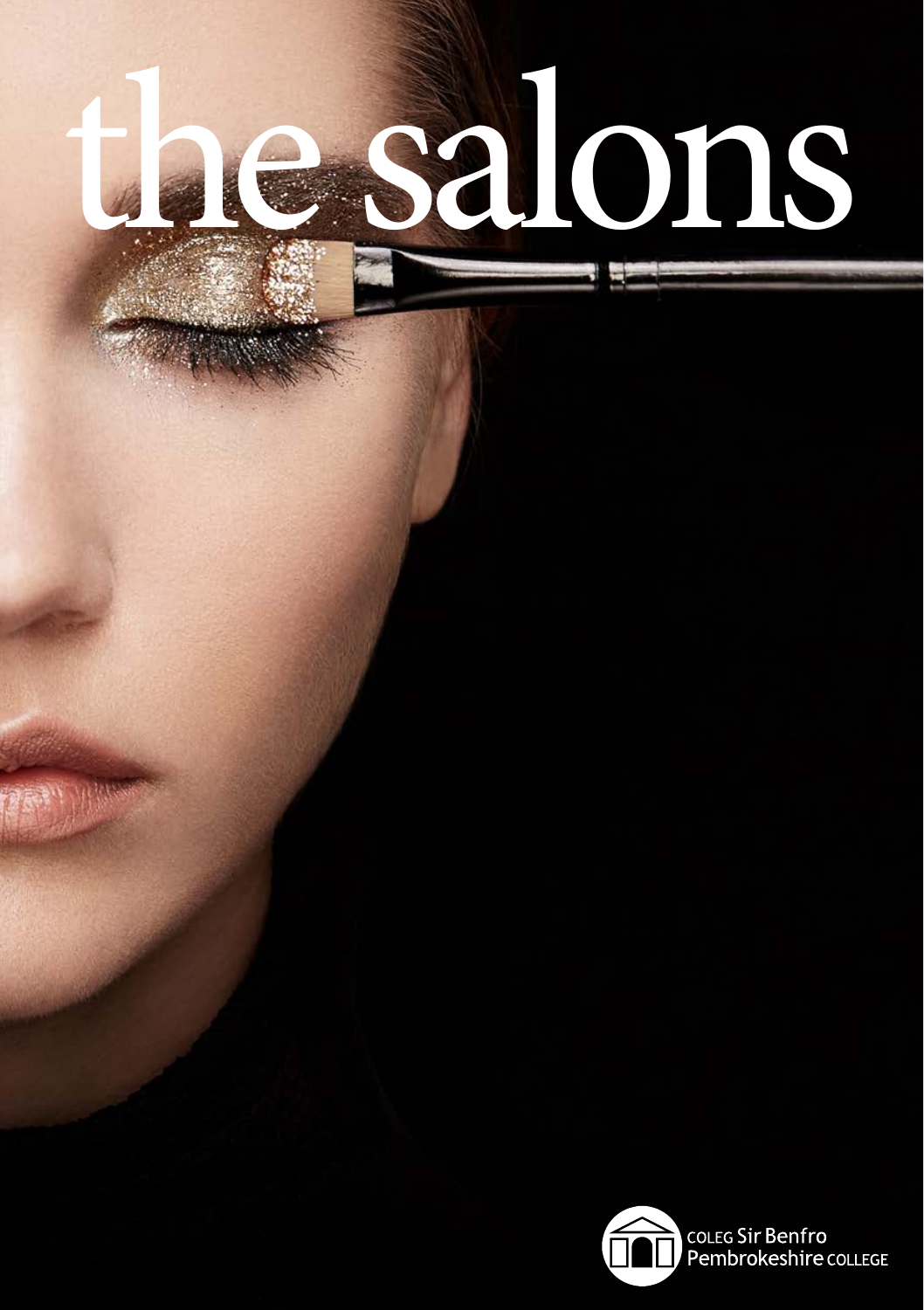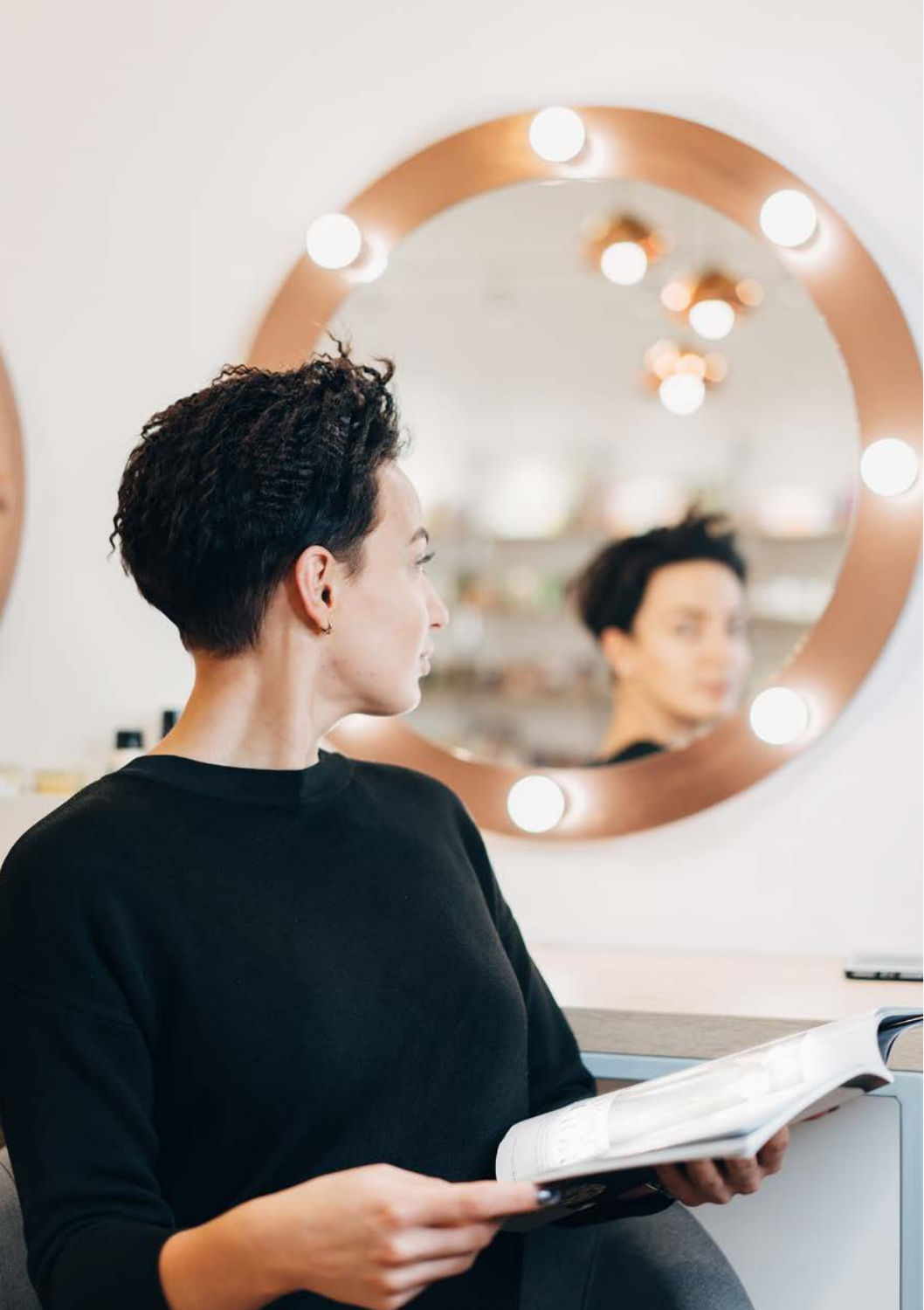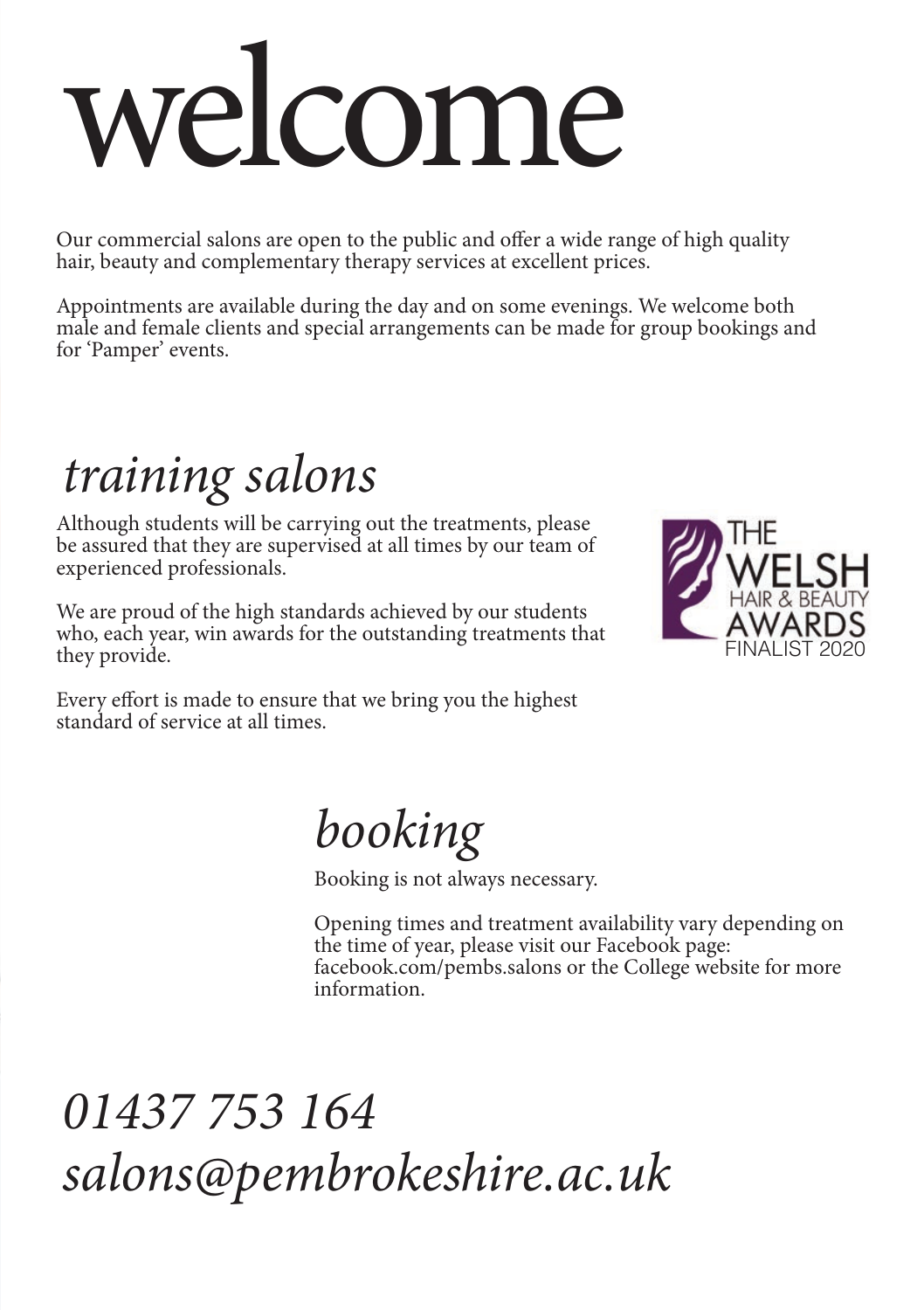### welcome

Our commercial salons are open to the public and offer a wide range of high quality hair, beauty and complementary therapy services at excellent prices.

Appointments are available during the day and on some evenings. We welcome both male and female clients and special arrangements can be made for group bookings and for 'Pamper' events.

#### *training salons*

Although students will be carrying out the treatments, please be assured that they are supervised at all times by our team of experienced professionals.

We are proud of the high standards achieved by our students who, each year, win awards for the outstanding treatments that they provide.



Every effort is made to ensure that we bring you the highest standard of service at all times.

#### *booking*

Booking is not always necessary.

Opening times and treatment availability vary depending on the time of year, please visit our Facebook page: facebook.com/pembs.salons or the College website for more information.

#### *01437 753 164 salons@pembrokeshire.ac.uk*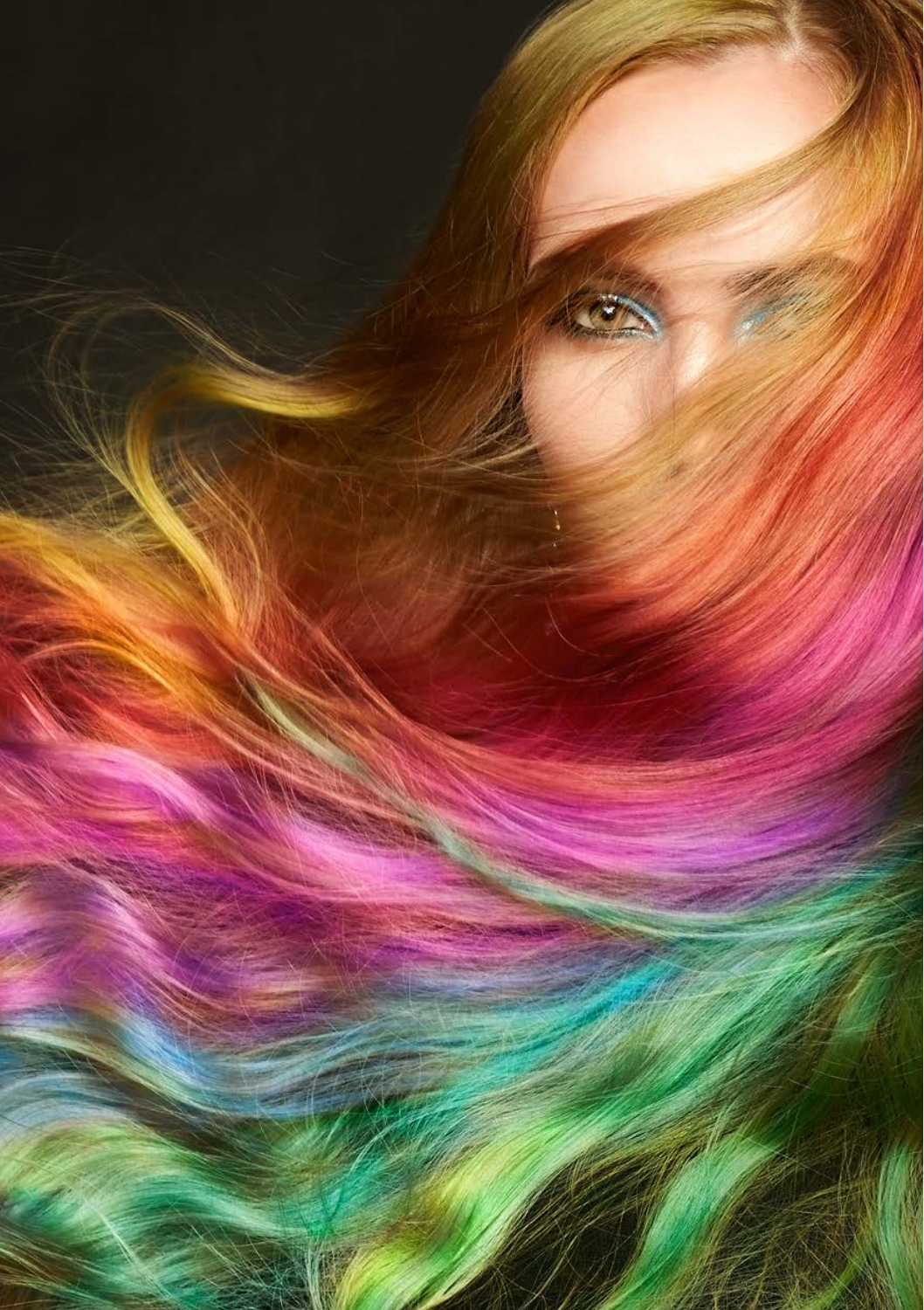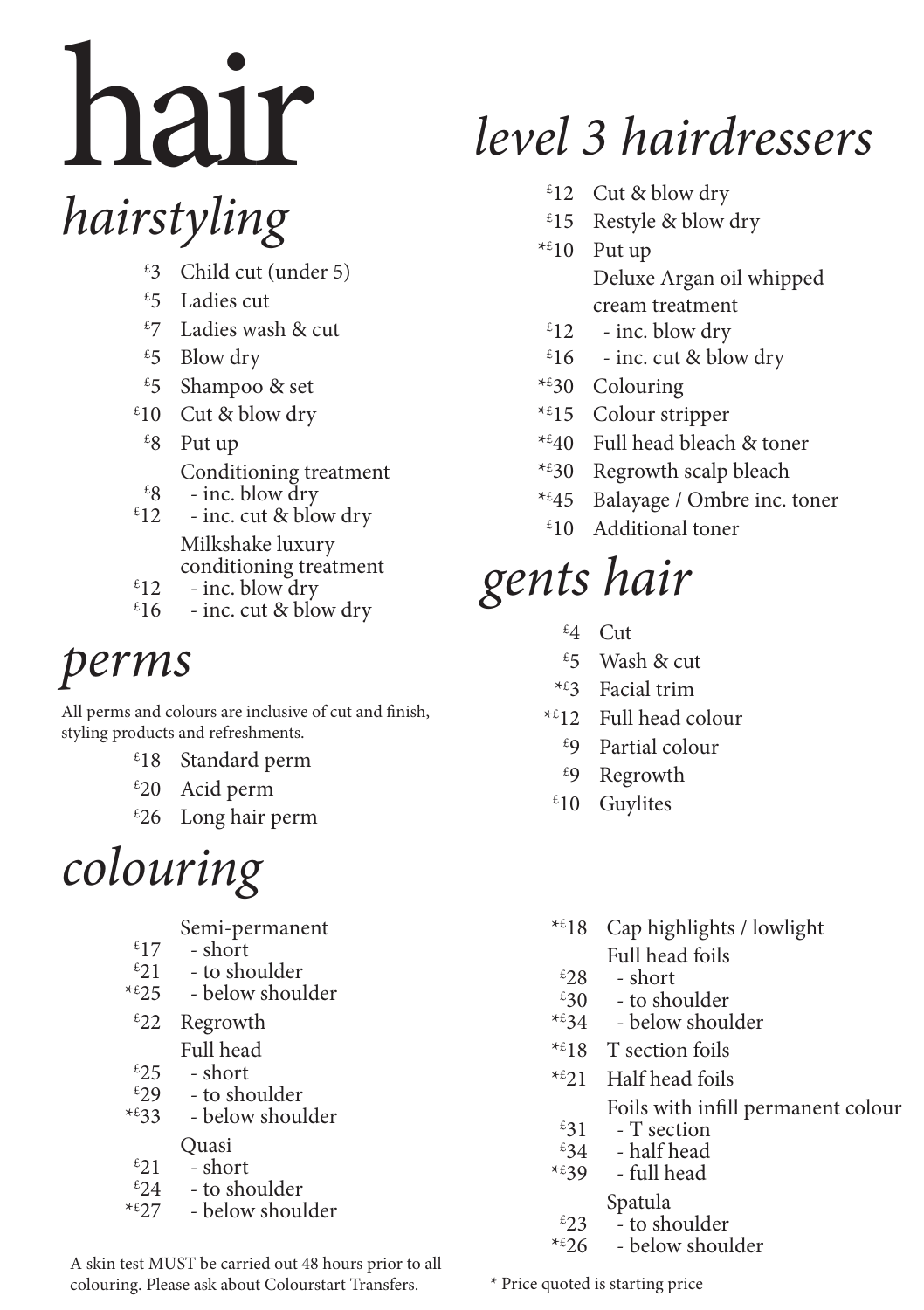### hair *hairstyling*

- $E$ 3 Child cut (under 5)
- $E$ 5 Ladies cut
- $E$ <sup>£7</sup> Ladies wash & cut
- $E$ 5 Blow dry
- £ 5 Shampoo & set
- $E$ 10 Cut & blow dry
- £ 8 Put up Conditioning treatment
- $2^{\epsilon}8$  inc. blow dry
- $^{68}$  inc. blow dry<br> $^{612}$  inc. cut & blow dry Milkshake luxury conditioning treatment
- $^{\epsilon}12$ - inc. blow dry
- $16$  inc. cut & blow dry

#### *perms*

All perms and colours are inclusive of cut and finish, styling products and refreshments.

- $E$ 18 Standard perm
- £ 20 Acid perm
- £ 26 Long hair perm

#### *colouring*

Semi-permanent

- $^{\epsilon}17$  $-$  short
- $21$ - to shoulder
- $*$  $25$ - below shoulder
- £ 22 Regrowth
	- Full head
- $25$ - short
- $29$ - to shoulder
- \*£ 33 - below shoulder
	- **Ouasi**
- $21$  short
- $24$ - to shoulder
- $*$ £27 - below shoulder

A skin test MUST be carried out 48 hours prior to all colouring. Please ask about Colourstart Transfers.

#### *level 3 hairdressers*

- $12$  Cut & blow dry
- $E$ 15 Restyle & blow dry
- \*£ 10 Put up Deluxe Argan oil whipped cream treatment
- $12$  inc. blow dry
- $16$  inc. cut & blow dry
- \*£ 30 Colouring
- \*£ 15 Colour stripper
- \*£ 40 Full head bleach & toner
- \*£ 30 Regrowth scalp bleach
- \*£ 45 Balayage / Ombre inc. toner
- $£10$  Additional toner

#### *gents hair*

- $24$  Cut
- $E$ <sup>£5</sup> Wash & cut
- \*£ 3 Facial trim
- \*£ 12 Full head colour
	- £ 9 Partial colour
	- £ 9 Regrowth
- $E$ 10 Guylites
- \*£ 18 Cap highlights / lowlight Full head foils
	- short
- $28$  $230$ - to shoulder
- \*£ 34 below shoulder
- \*£ 18 T section foils
- \*£ 21 Half head foils
	- Foils with infill permanent colour
- $2^{\epsilon}31$  T section
- £ 34 - half head
- \*£ 39 - full head
	- Spatula
- $23$ - to shoulder
- \* $26$ - below shoulder

\* Price quoted is starting price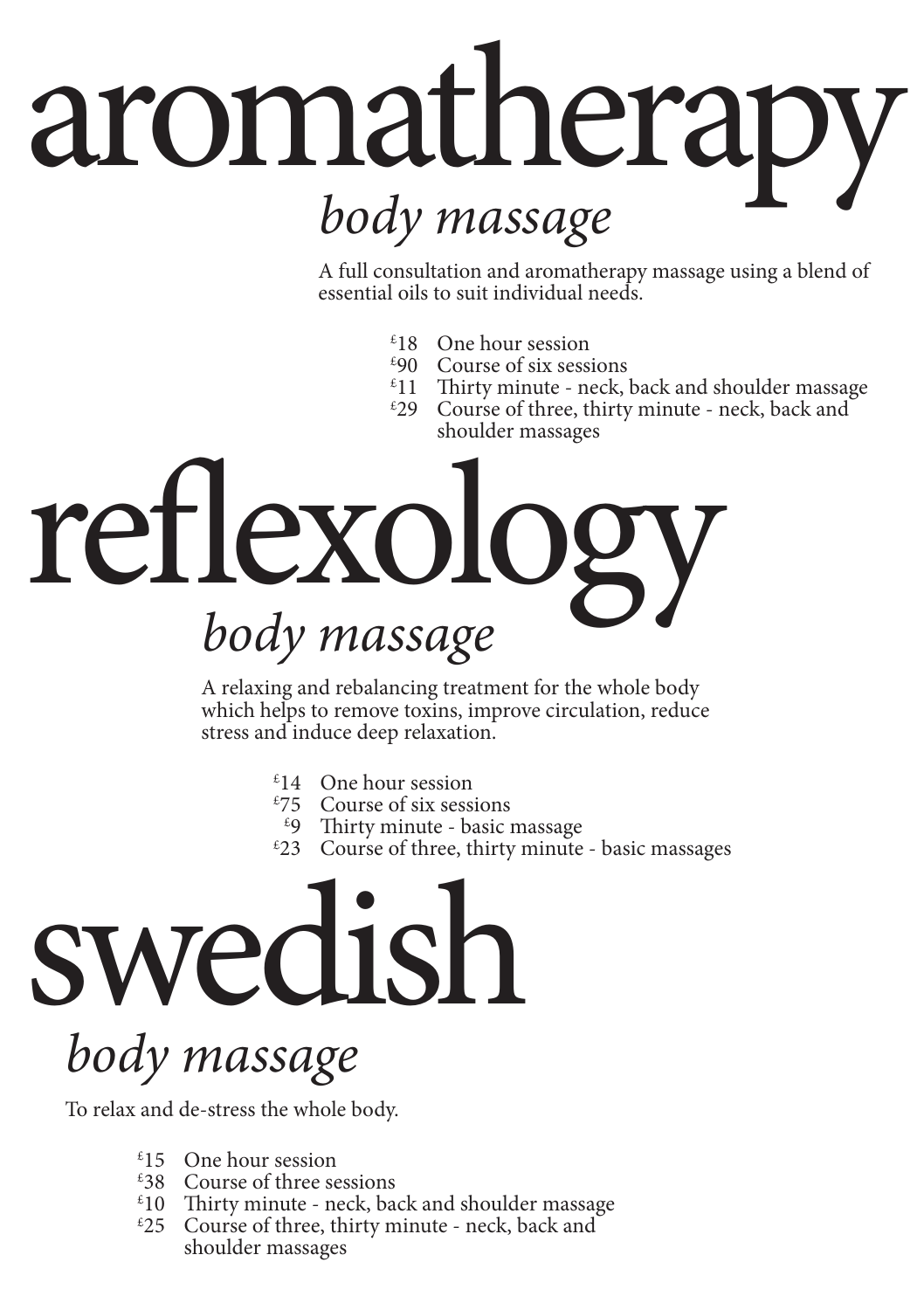# aromatherapy *body massage*

A full consultation and aromatherapy massage using a blend of essential oils to suit individual needs.

- £ 18 One hour session
- $E90$  Course of six sessions
- $^{\epsilon}$ 11  $\;$  Thirty minute neck, back and shoulder massage
- $E29$  Course of three, thirty minute neck, back and shoulder massages

# reflexology *body massage*

A relaxing and rebalancing treatment for the whole body which helps to remove toxins, improve circulation, reduce stress and induce deep relaxation.

- $E$ 14 One hour session
- $E$ 75 Course of six sessions
- £ Thirty minute basic massage
- <sup>£</sup>9 Thirty minute basic massage<br><sup>£</sup>23 Course of three, thirty minute basic massages

### swedish *body massage*

To relax and de-stress the whole body.

- $E$ 15 One hour session
- £ 38 Course of three sessions
- $E10$  Thirty minute neck, back and shoulder massage
- $E25$  Course of three, thirty minute neck, back and shoulder massages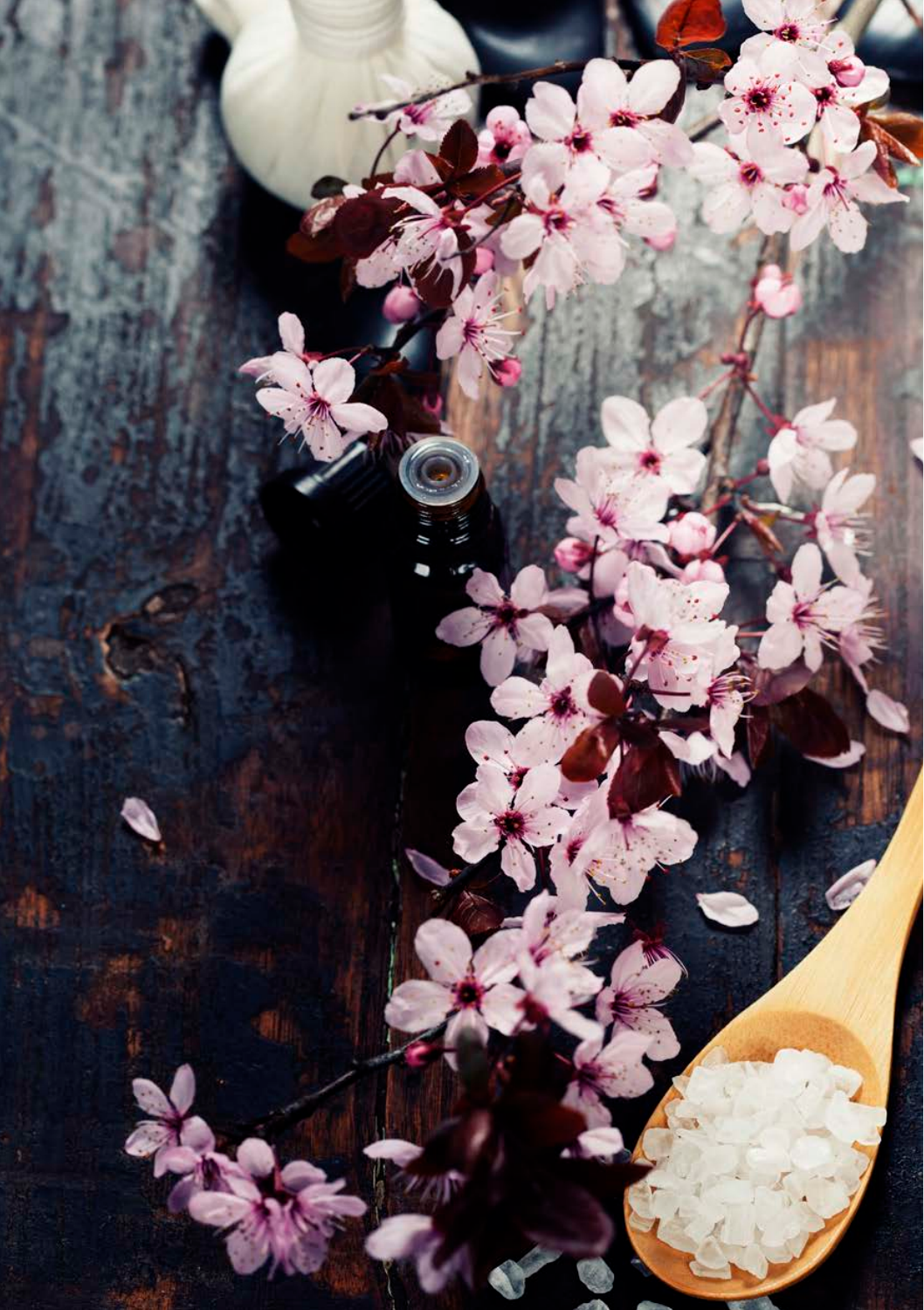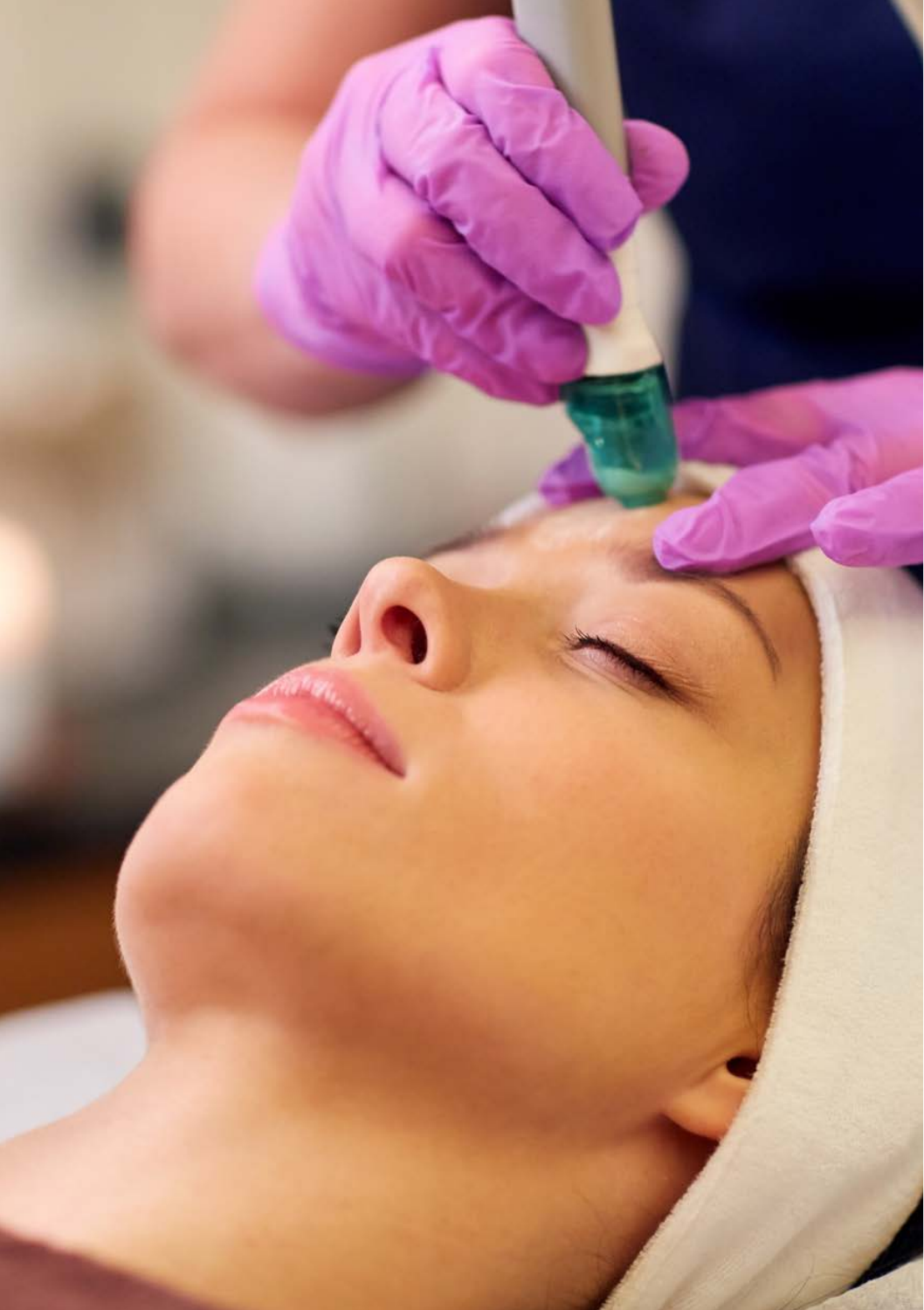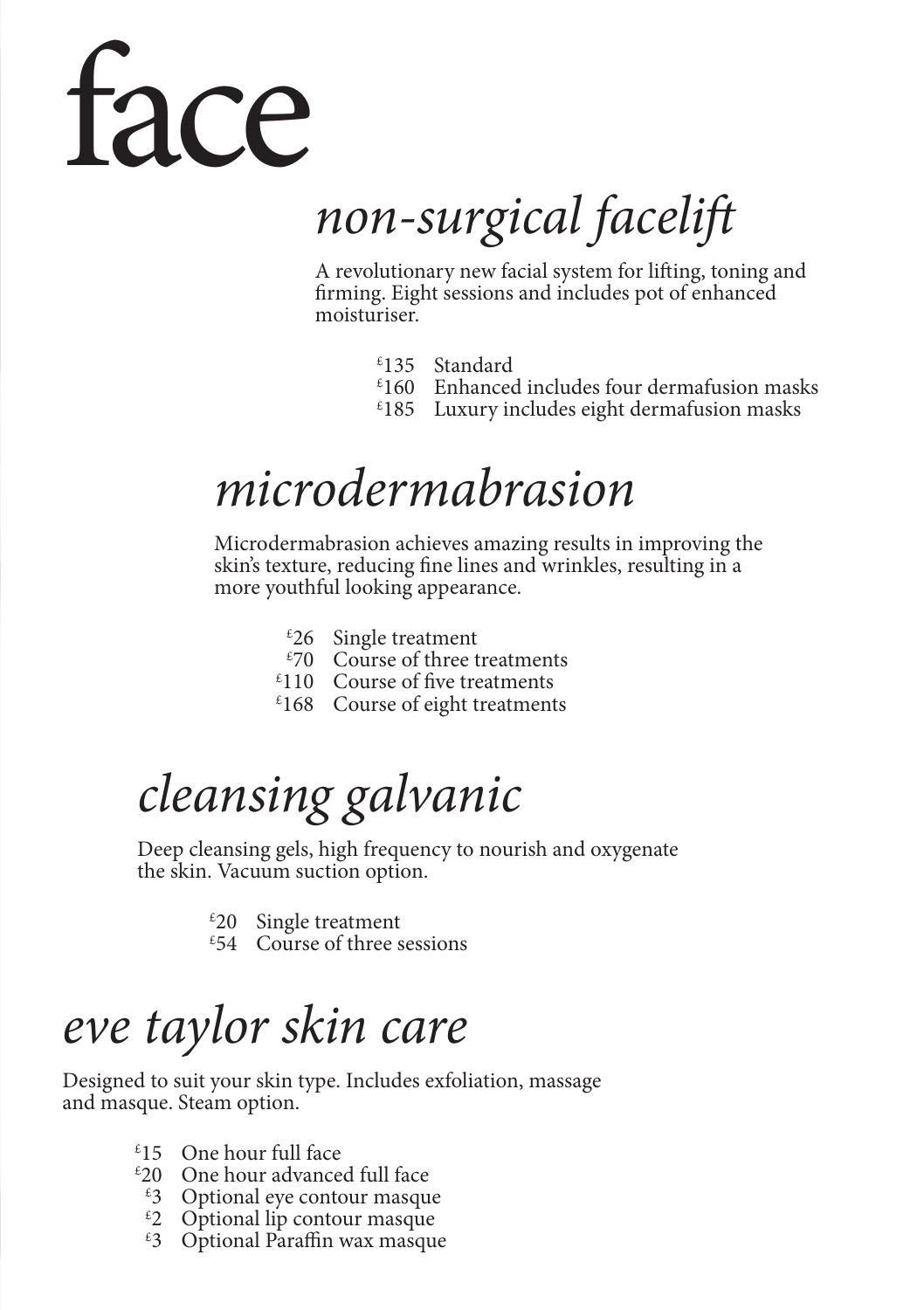

#### *non-surgical facelift*

A revolutionary new facial system for lifting, toning and firming. Eight sessions and includes pot of enhanced moisturiser.

- £ 135 Standard
- $E160$  Enhanced includes four dermafusion masks
- $^{t}$ 185  $\,$  Luxury includes eight dermafusion masks

#### *microdermabrasion*

Microdermabrasion achieves amazing results in improving the skin's texture, reducing fine lines and wrinkles, resulting in a more youthful looking appearance.

- £ 26 Single treatment
- $E$ 70 Course of three treatments
- <sup>£70</sup> Course of three treatments<sup>£110</sup> Course of five treatments
- $E$ 168 Course of eight treatments

#### *cleansing galvanic*

Deep cleansing gels, high frequency to nourish and oxygenate the skin. Vacuum suction option.

- £ 20 Single treatment
- £ 54 Course of three sessions

#### *eve taylor skin care*

Designed to suit your skin type. Includes exfoliation, massage and masque. Steam option.

- $£15$  One hour full face
- $E$ 20 One hour advanced full face
- £ 3 Optional eye contour masque
- $E$ 2 Optional lip contour masque
- £ 3 Optional Paraffin wax masque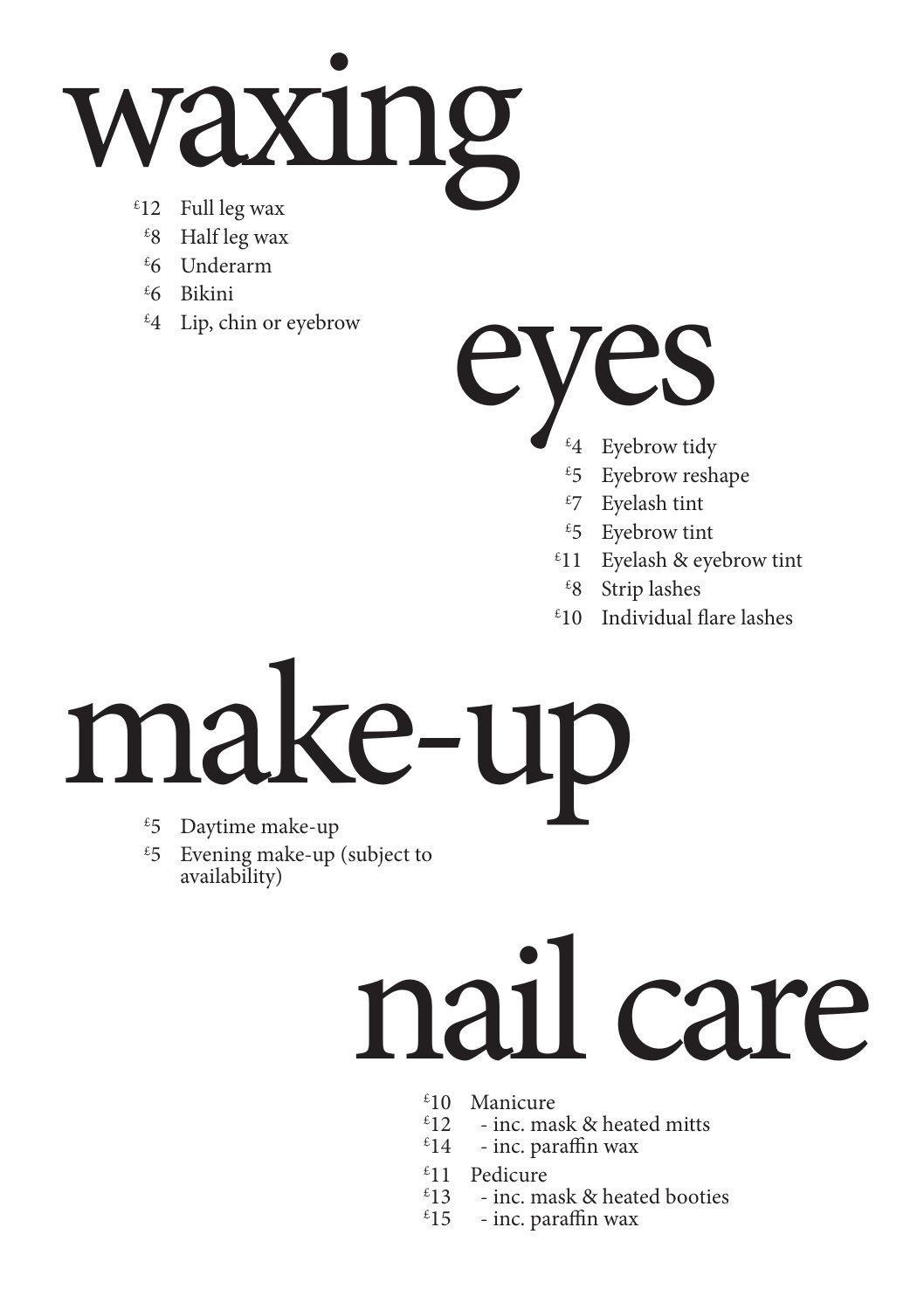## waxing

- $t$ 12 Full leg wax
- $E$ 8 Half leg wax
- $^{t}$ 6 Underarm
- £ 6 Bikini
- <sup>£4</sup> Lip, chin or eyebrow



- $£4$  Eyebrow tidy
- £ 5 Eyebrow reshape
- $57$  Eyelash tint
- £ 5 Eyebrow tint
- $E$ 11 Eyelash & eyebrow tint
- £ 8 Strip lashes
- $E$ 10 Individual flare lashes

## make-up

- $E$ 5 Daytime make-up
- $E$ <sup>£5</sup> Evening make-up (subject to availability)

### nail care

#### 10 Manicure

- $^{\epsilon}12$ - inc. mask & heated mitts
- $14$  inc. paraffin wax
- £ 11 Pedicure
- $13$  inc. mask & heated booties
- $25$ - inc. paraffin wax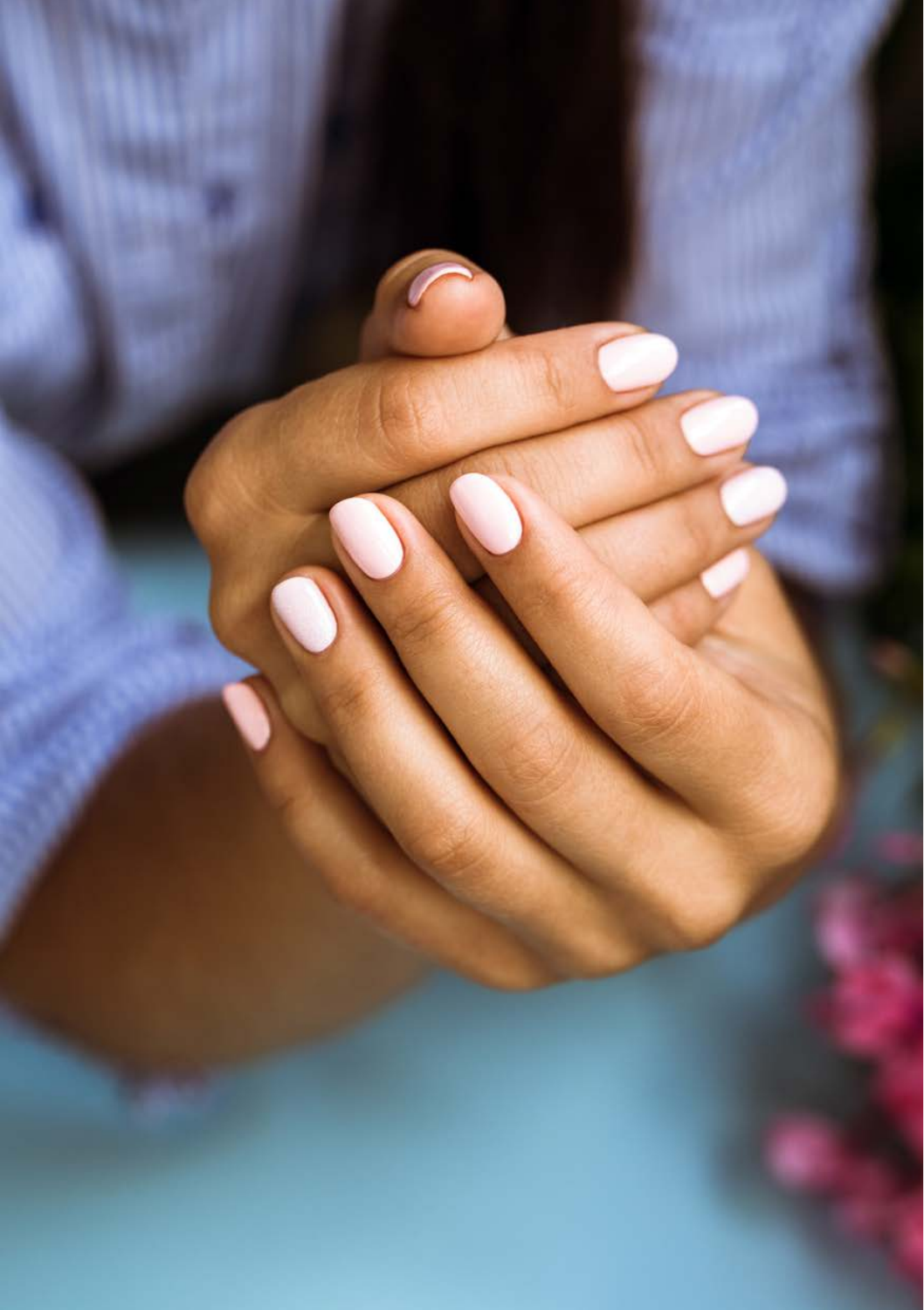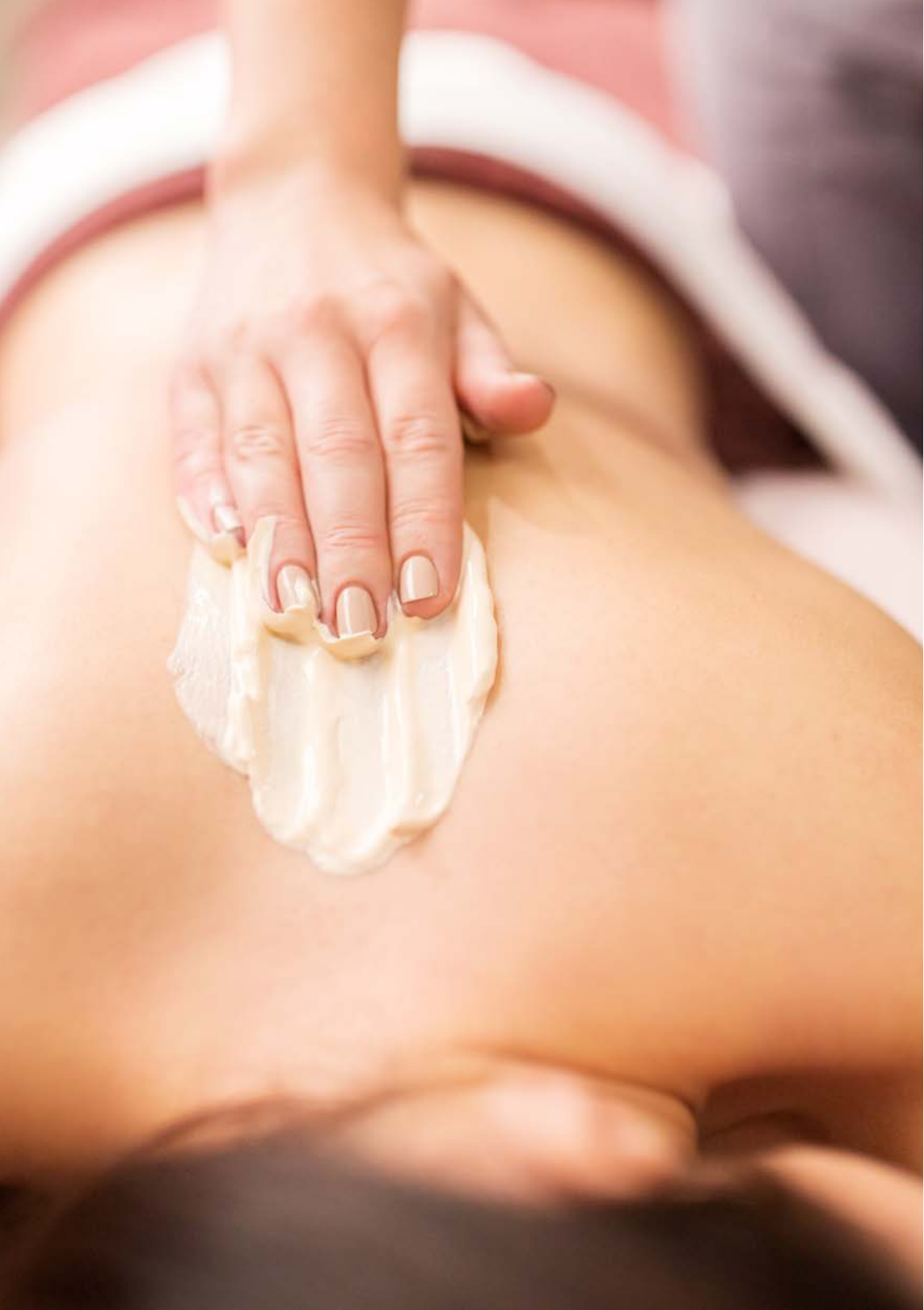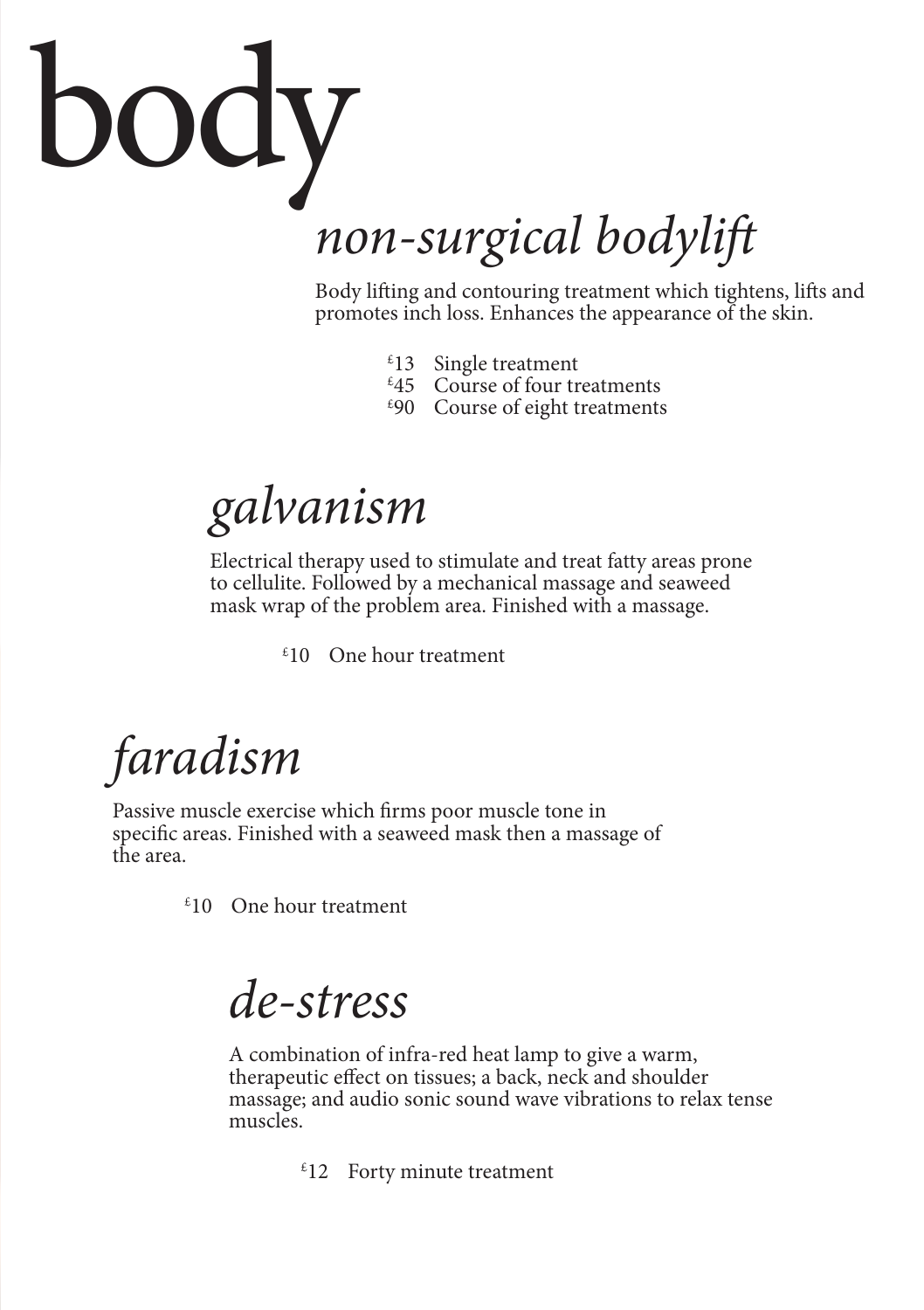

Body lifting and contouring treatment which tightens, lifts and promotes inch loss. Enhances the appearance of the skin.

- Single treatment
- £ 13 £ 45 £ 90 Course of four treatments
- Course of eight treatments

#### *galvanism*

Electrical therapy used to stimulate and treat fatty areas prone to cellulite. Followed by a mechanical massage and seaweed mask wrap of the problem area. Finished with a massage.

 $£10$  One hour treatment

#### *faradism*

Passive muscle exercise which firms poor muscle tone in specific areas. Finished with a seaweed mask then a massage of the area.

 $£10$  One hour treatment

*de-stress*

A combination of infra-red heat lamp to give a warm, therapeutic effect on tissues; a back, neck and shoulder massage; and audio sonic sound wave vibrations to relax tense muscles.

 $E$ 12 Forty minute treatment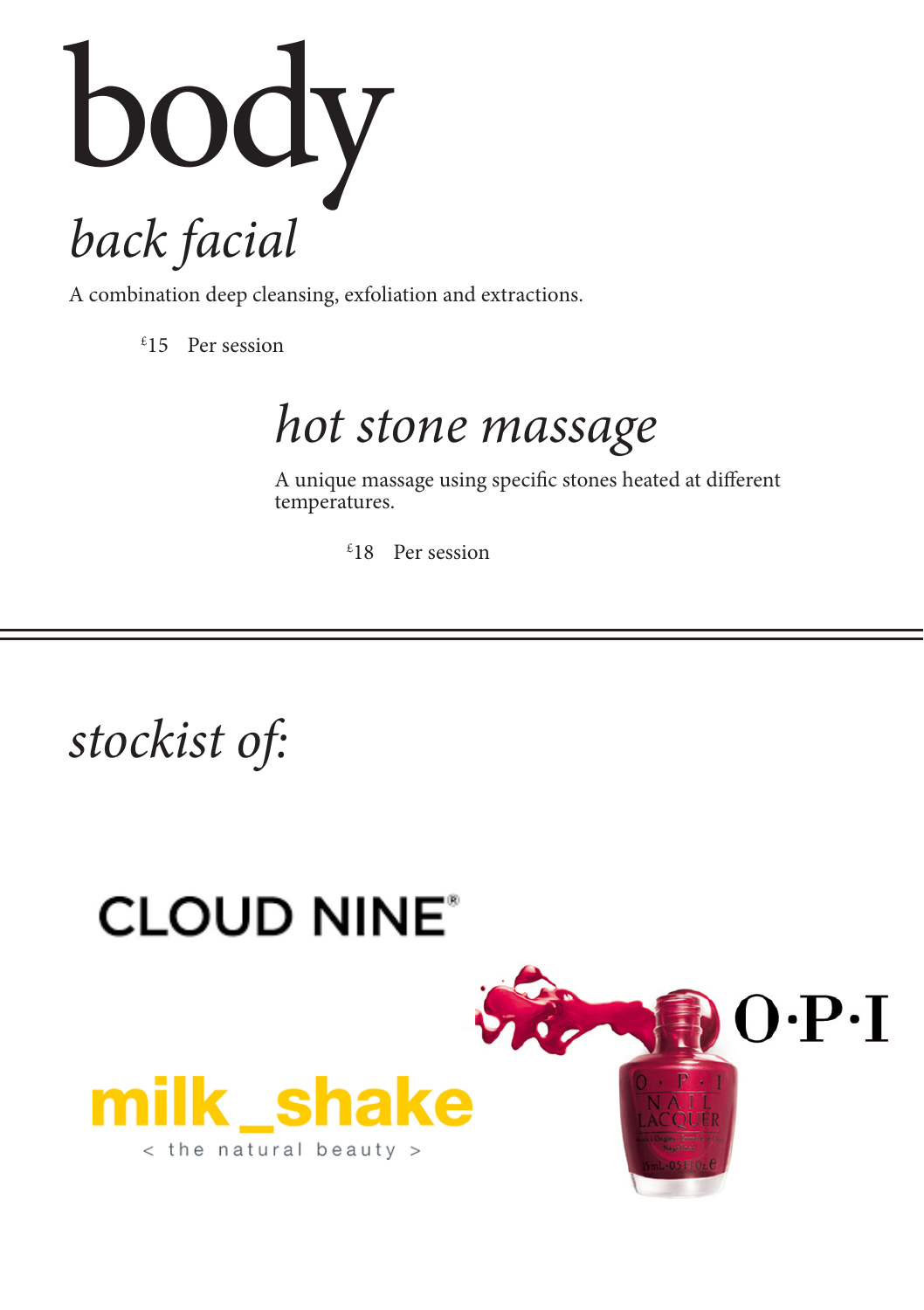body *back facial*

A combination deep cleansing, exfoliation and extractions.

 $15$  Per session

#### *hot stone massage*

A unique massage using specific stones heated at different temperatures.

 $0 \cdot P \cdot I$ 

 $E$ 18 Per session

*stockist of:*

#### **CLOUD NINE®**

milk\_shake

 $\langle$  the natural beauty  $\rangle$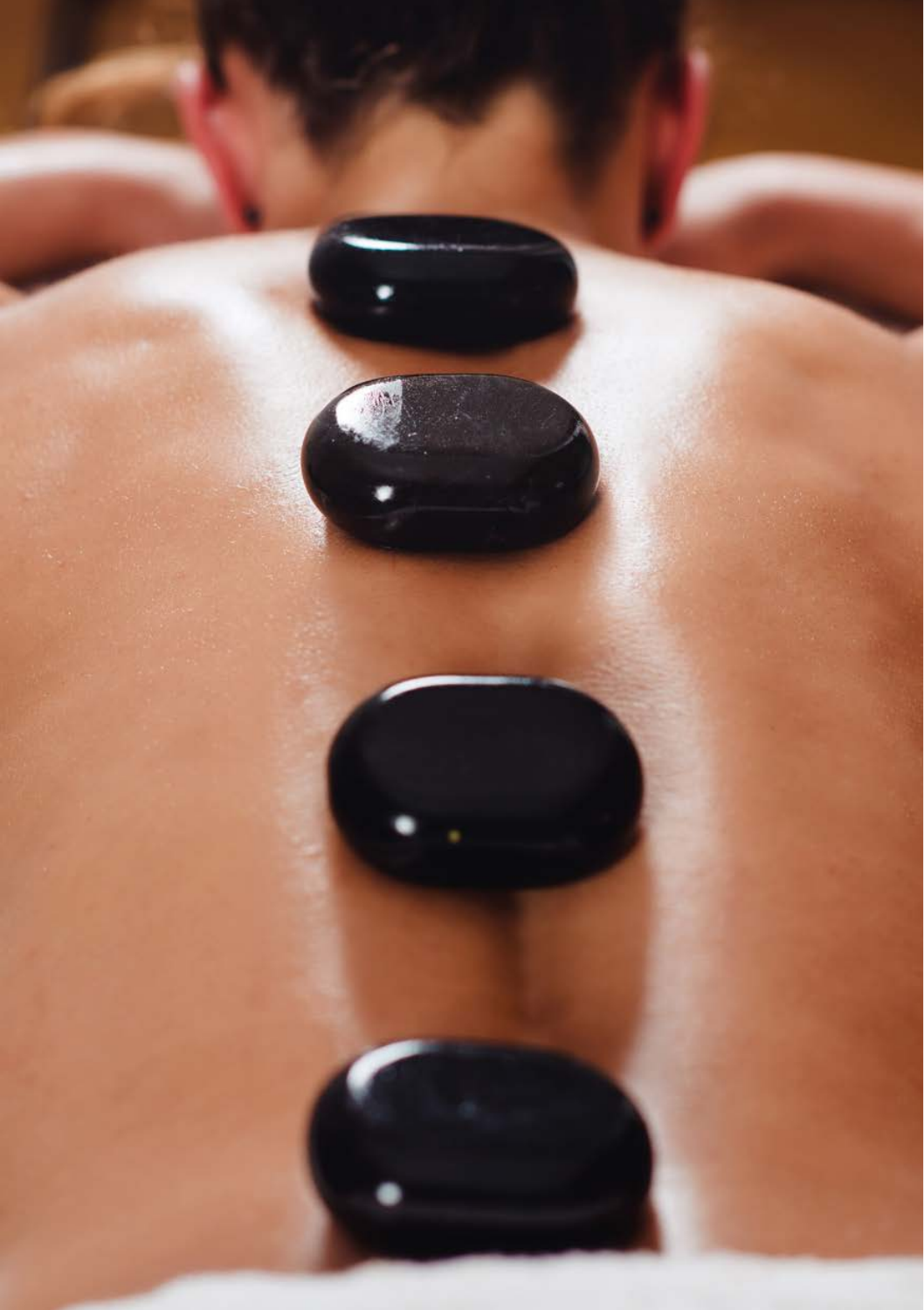